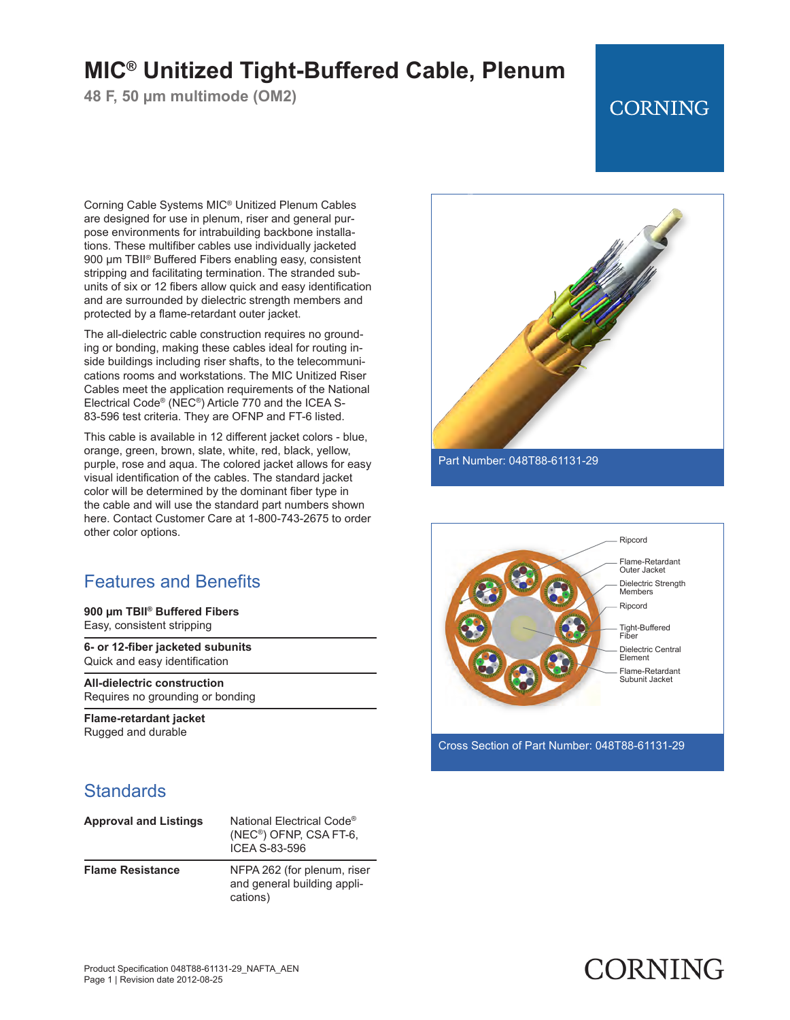# **MIC® Unitized Tight-Buffered Cable, Plenum**

**48 F, 50 µm multimode (OM2)**

## **CORNING**

Corning Cable Systems MIC® Unitized Plenum Cables are designed for use in plenum, riser and general purpose environments for intrabuilding backbone installations. These multifiber cables use individually jacketed 900 μm TBII® Buffered Fibers enabling easy, consistent stripping and facilitating termination. The stranded subunits of six or 12 fibers allow quick and easy identification and are surrounded by dielectric strength members and protected by a flame-retardant outer jacket.

The all-dielectric cable construction requires no grounding or bonding, making these cables ideal for routing inside buildings including riser shafts, to the telecommunications rooms and workstations. The MIC Unitized Riser Cables meet the application requirements of the National Electrical Code® (NEC®) Article 770 and the ICEA S-83-596 test criteria. They are OFNP and FT-6 listed.

This cable is available in 12 different jacket colors - blue, orange, green, brown, slate, white, red, black, yellow, purple, rose and aqua. The colored jacket allows for easy visual identification of the cables. The standard jacket color will be determined by the dominant fiber type in the cable and will use the standard part numbers shown here. Contact Customer Care at 1-800-743-2675 to order other color options.

### Features and Benefits

**900 µm TBII® Buffered Fibers** Easy, consistent stripping

**6- or 12-fiber jacketed subunits** Quick and easy identification

**All-dielectric construction** Requires no grounding or bonding

**Flame-retardant jacket** Rugged and durable

### **Standards**

| <b>Approval and Listings</b> | National Electrical Code <sup>®</sup><br>$(NEC®)$ OFNP, CSA FT-6,<br>ICFA S-83-596 |
|------------------------------|------------------------------------------------------------------------------------|
| <b>Flame Resistance</b>      | NFPA 262 (for plenum, riser<br>and general building appli-<br>cations)             |





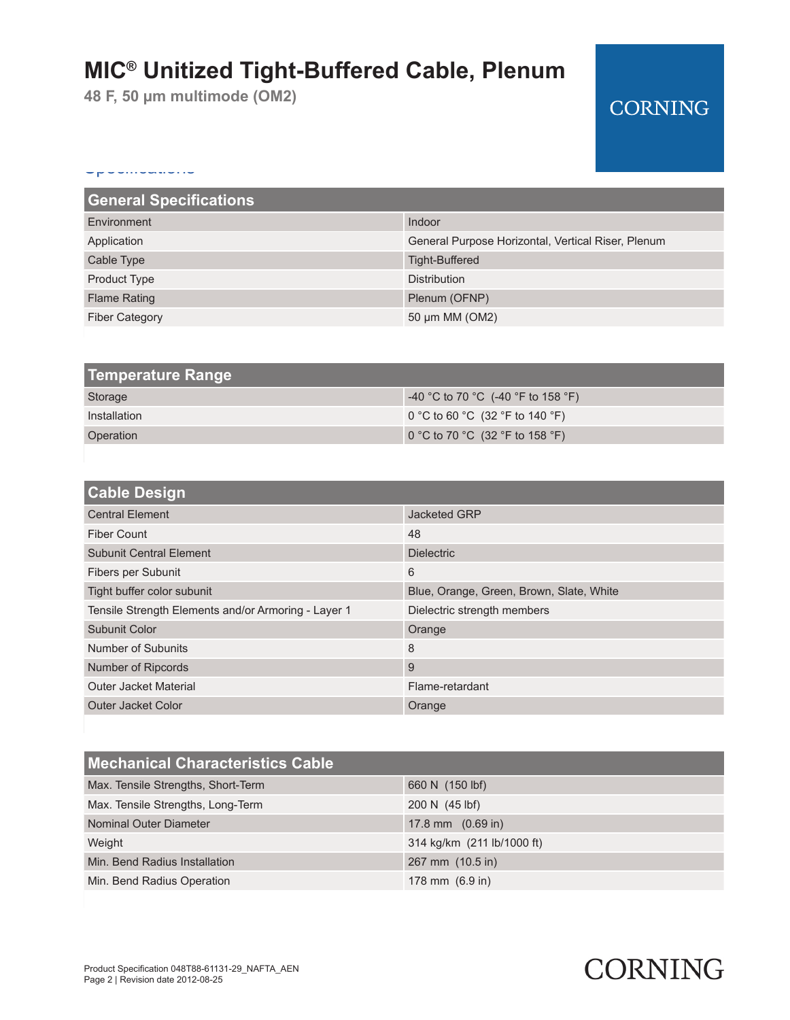# **MIC® Unitized Tight-Buffered Cable, Plenum**

**48 F, 50 µm multimode (OM2)**

## **CORNING**

#### Specifications

| <b>General Specifications</b>                      |  |
|----------------------------------------------------|--|
| Indoor                                             |  |
| General Purpose Horizontal, Vertical Riser, Plenum |  |
| <b>Tight-Buffered</b>                              |  |
| <b>Distribution</b>                                |  |
| Plenum (OFNP)                                      |  |
| 50 µm MM (OM2)                                     |  |
|                                                    |  |

| <b>Temperature Range</b> |                                               |
|--------------------------|-----------------------------------------------|
| Storage                  | $-40$ °C to 70 °C (-40 °F to 158 °F)          |
| Installation             | $\mid$ 0 °C to 60 °C (32 °F to 140 °F) $\mid$ |
| Operation                | 0 °C to 70 °C (32 °F to 158 °F)               |

| <b>Cable Design</b>                                 |                                          |
|-----------------------------------------------------|------------------------------------------|
| <b>Central Element</b>                              | Jacketed GRP                             |
| Fiber Count                                         | 48                                       |
| <b>Subunit Central Element</b>                      | <b>Dielectric</b>                        |
| Fibers per Subunit                                  | 6                                        |
| Tight buffer color subunit                          | Blue, Orange, Green, Brown, Slate, White |
| Tensile Strength Elements and/or Armoring - Layer 1 | Dielectric strength members              |
| Subunit Color                                       | Orange                                   |
| Number of Subunits                                  | 8                                        |
| Number of Ripcords                                  | 9                                        |
| <b>Outer Jacket Material</b>                        | Flame-retardant                          |
| Outer Jacket Color                                  | Orange                                   |

| <b>Mechanical Characteristics Cable</b> |                             |
|-----------------------------------------|-----------------------------|
| Max. Tensile Strengths, Short-Term      | 660 N (150 lbf)             |
| Max. Tensile Strengths, Long-Term       | 200 N (45 lbf)              |
| Nominal Outer Diameter                  | 17.8 mm $(0.69 \text{ in})$ |
| Weight                                  | 314 kg/km (211 lb/1000 ft)  |
| Min. Bend Radius Installation           | 267 mm (10.5 in)            |
| Min. Bend Radius Operation              | 178 mm $(6.9 \text{ in})$   |